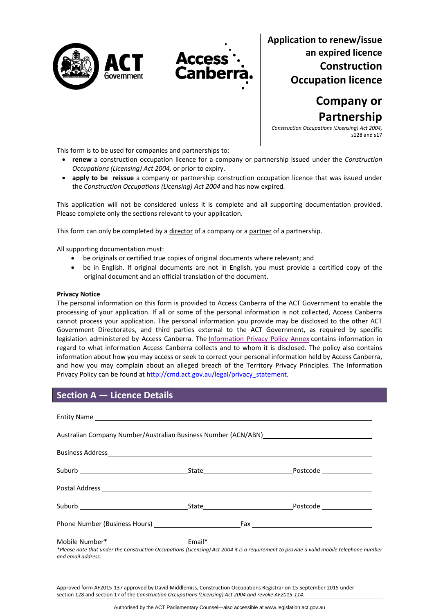



**Application to renew/issue an expired licence Construction Occupation licence**

> **Company or Partnership**

*Construction Occupations (Licensing) Act 2004,* s128 and s17

This form is to be used for companies and partnerships to:

- **renew** a construction occupation licence for a company or partnership issued under the *Construction Occupations (Licensing) Act 2004,* or prior to expiry.
- **apply to be reissue** a company or partnership construction occupation licence that was issued under the *Construction Occupations (Licensing) Act 2004* and has now expired*.*

This application will not be considered unless it is complete and all supporting documentation provided. Please complete only the sections relevant to your application.

This form can only be completed by a director of a company or a partner of a partnership.

All supporting documentation must:

- be originals or certified true copies of original documents where relevant; and
- be in English. If original documents are not in English, you must provide a certified copy of the original document and an official translation of the document.

#### **Privacy Notice**

The personal information on this form is provided to Access Canberra of the ACT Government to enable the processing of your application. If all or some of the personal information is not collected, Access Canberra cannot process your application. The personal information you provide may be disclosed to the other ACT Government Directorates, and third parties external to the ACT Government, as required by specific legislation administered by Access Canberra. The [Information](http://www.environment.act.gov.au/__data/assets/pdf_file/0006/633741/Information-Privacy-Policy-Annex.pdf) Privacy Policy Annex contains information in regard to what information Access Canberra collects and to whom it is disclosed. The policy also contains information about how you may access or seek to correct your personal information held by Access Canberra, and how you may complain about an alleged breach of the Territory Privacy Principles. The Information Privacy Policy can be found at [http://cmd.act.gov.au/legal/privacy\\_statement.](http://cmd.act.gov.au/legal/privacy_statement)

## **Section A — Licence Details**

|  |  | *Places note that under the Construction Occupations (Licensing) Act 2004 it is a requirement to provide a unlid mobile telephone number |  |  |  |  |
|--|--|------------------------------------------------------------------------------------------------------------------------------------------|--|--|--|--|

\*Please note that under the Construction Occupations (Licensing) Act 2004 it is a requirement to provide a valid mobile telephone number *and email address.* 

Approved form AF2015‐137 approved by David Middlemiss, Construction Occupations Registrar on 15 September 2015 under section 128 and section 17 of the *Construction Occupations (Licensing) Act 2004 and revoke AF2015‐114.*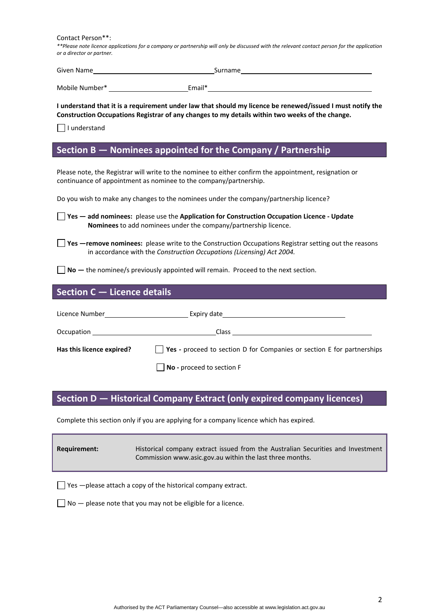Contact Person\*\*:

\*\*Please note licence applications for a company or partnership will only be discussed with the relevant contact person for the application *or a director or partner.*

| Given Name     |        | Surname |
|----------------|--------|---------|
| Mobile Number* | Email* |         |

I understand that it is a requirement under law that should my licence be renewed/issued I must notify the **Construction Occupations Registrar of any changes to my details within two weeks of the change.** 

 $\Box$  I understand

## **Section B — Nominees appointed for the Company / Partnership**

Please note, the Registrar will write to the nominee to either confirm the appointment, resignation or continuance of appointment as nominee to the company/partnership.

Do you wish to make any changes to the nominees under the company/partnership licence?

**Yes — add nominees:** please use the **Application for Construction Occupation Licence ‐ Update Nominees** to add nominees under the company/partnership licence.

**T** Yes —remove nominees: please write to the Construction Occupations Registrar setting out the reasons in accordance with the *Construction Occupations (Licensing) Act 2004.*

**No** — the nominee/s previously appointed will remain. Proceed to the next section.

# **Section C — Licence details**

| Licence Number <b>Example 19</b> | Expiry date that the contract of the contract of the contract of the contract of the contract of the contract of the contract of the contract of the contract of the contract of the contract of the contract of the contract |
|----------------------------------|-------------------------------------------------------------------------------------------------------------------------------------------------------------------------------------------------------------------------------|
| <b>Occupation</b>                | Class                                                                                                                                                                                                                         |
| Has this licence expired?        | $\vert$ <b>Yes</b> - proceed to section D for Companies or section E for partnerships                                                                                                                                         |
|                                  | No - proceed to section F                                                                                                                                                                                                     |

# **Section D — Historical Company Extract (only expired company licences)**

Complete this section only if you are applying for a company licence which has expired.

| Requirement: | Historical company extract issued from the Australian Securities and Investment |
|--------------|---------------------------------------------------------------------------------|
|              | Commission www.asic.gov.au within the last three months.                        |

 $\Box$  Yes  $-\rho$  lease attach a copy of the historical company extract.

 $\Box$  No  $-$  please note that you may not be eligible for a licence.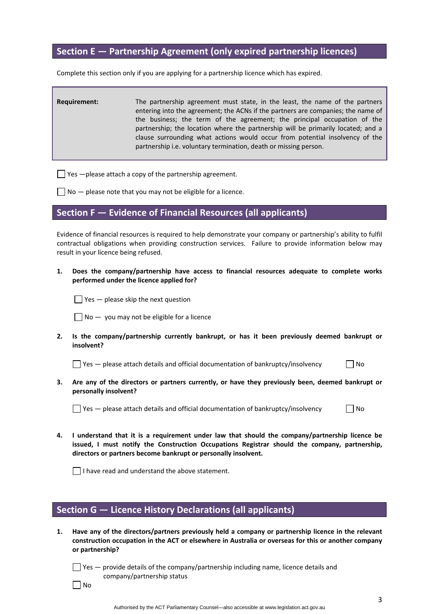## **Section E — Partnership Agreement (only expired partnership licences)**

Complete this section only if you are applying for a partnership licence which has expired.

**Requirement:** The partnership agreement must state, in the least, the name of the partners entering into the agreement; the ACNs if the partners are companies; the name of the business; the term of the agreement; the principal occupation of the partnership; the location where the partnership will be primarily located; and a clause surrounding what actions would occur from potential insolvency of the partnership i.e. voluntary termination, death or missing person.

 $\Box$  Yes  $-\Box$  please attach a copy of the partnership agreement.

 $\Box$  No  $-$  please note that you may not be eligible for a licence.

## **Section F — Evidence of Financial Resources (all applicants)**

Evidence of financial resources is required to help demonstrate your company or partnership's ability to fulfil contractual obligations when providing construction services. Failure to provide information below may result in your licence being refused.

**1. Does the company/partnership have access to financial resources adequate to complete works performed under the licence applied for?** 

 $\Box$  Yes  $-$  please skip the next question

 $\Box$  No  $-$  you may not be eligible for a licence

**2. Is the company/partnership currently bankrupt, or has it been previously deemed bankrupt or insolvent?** 

 $\Box$  Yes — please attach details and official documentation of bankruptcy/insolvency  $\Box$  No

**3. Are any of the directors or partners currently, or have they previously been, deemed bankrupt or personally insolvent?** 

 $\Box$  Yes — please attach details and official documentation of bankruptcy/insolvency  $\Box$  No

**4. I understand that it is a requirement under law that should the company/partnership licence be issued, I must notify the Construction Occupations Registrar should the company, partnership, directors or partners become bankrupt or personally insolvent.** 

 $\Box$  I have read and understand the above statement.

## **Section G — Licence History Declarations (all applicants)**

**1. Have any of the directors/partners previously held a company or partnership licence in the relevant construction occupation in the ACT or elsewhere in Australia or overseas for this or another company or partnership?** 

 $\Box$  Yes  $-$  provide details of the company/partnership including name, licence details and company/partnership status

 $\Box$  No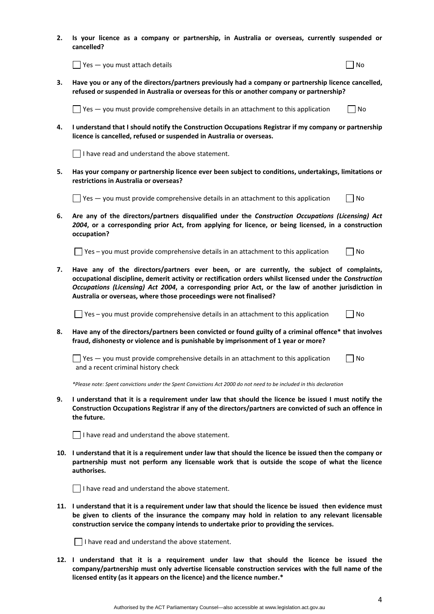**2. Is your licence as a company or partnership, in Australia or overseas, currently suspended or cancelled?** 

 $\Box$  Yes — you must attach details  $\Box$ 

**3. Have you or any of the directors/partners previously had a company or partnership licence cancelled, refused or suspended in Australia or overseas for this or another company or partnership?** 

 $\Box$  Yes  $-$  you must provide comprehensive details in an attachment to this application  $\Box$  No

**4. I understand that I should notify the Construction Occupations Registrar if my company or partnership licence is cancelled, refused or suspended in Australia or overseas.** 

 $\Box$  I have read and understand the above statement.

**5. Has your company or partnership licence ever been subject to conditions, undertakings, limitations or restrictions in Australia or overseas?** 

 $\Box$  Yes — you must provide comprehensive details in an attachment to this application  $\Box$  No

**6. Are any of the directors/partners disqualified under the** *Construction Occupations (Licensing) Act 2004***, or a corresponding prior Act, from applying for licence, or being licensed, in a construction occupation?** 

 $\Box$  Yes – you must provide comprehensive details in an attachment to this application  $\Box$  No

**7. Have any of the directors/partners ever been, or are currently, the subject of complaints, occupational discipline, demerit activity or rectification orders whilst licensed under the** *Construction Occupations (Licensing) Act 2004***, a corresponding prior Act, or the law of another jurisdiction in Australia or overseas, where those proceedings were not finalised?** 

 $\Box$  Yes – you must provide comprehensive details in an attachment to this application  $\Box$  No

**8. Have any of the directors/partners been convicted or found guilty of a criminal offence\* that involves fraud, dishonesty or violence and is punishable by imprisonment of 1 year or more?** 

 $\Box$  Yes — you must provide comprehensive details in an attachment to this application  $\Box$  No and a recent criminal history check

\*Please note: Spent convictions under the Spent Convictions Act 2000 do not need to be included in this declaration

9. I understand that it is a requirement under law that should the licence be issued I must notify the **Construction Occupations Registrar if any of the directors/partners are convicted of such an offence in the future.** 

 $\Box$  I have read and understand the above statement.

10. I understand that it is a requirement under law that should the licence be issued then the company or **partnership must not perform any licensable work that is outside the scope of what the licence authorises.**

 $\Box$  I have read and understand the above statement.

11. I understand that it is a requirement under law that should the licence be issued then evidence must **be given to clients of the insurance the company may hold in relation to any relevant licensable construction service the company intends to undertake prior to providing the services.** 

 $\Box$  I have read and understand the above statement.

**12. I understand that it is a requirement under law that should the licence be issued the company/partnership must only advertise licensable construction services with the full name of the licensed entity (as it appears on the licence) and the licence number.\***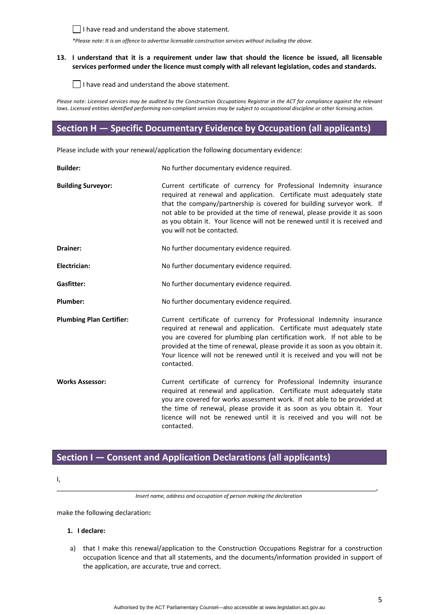

 $\Box$  I have read and understand the above statement.

*\*Please note: It is an offence to advertise licensable construction services without including the above.*

### 13. I understand that it is a requirement under law that should the licence be issued, all licensable **services performed under the licence must comply with all relevant legislation, codes and standards.**

I have read and understand the above statement.

Please note: Licensed services may be audited by the Construction Occupations Registrar in the ACT for compliance against the relevant laws. Licensed entities identified performing non-compliant services may be subject to occupational discipline or other licensing action.

# **Section H — Specific Documentary Evidence by Occupation (all applicants)**

Please include with your renewal/application the following documentary evidence:

| <b>Builder:</b>                 | No further documentary evidence required.                                                                                                                                                                                                                                                                                                                                                                          |
|---------------------------------|--------------------------------------------------------------------------------------------------------------------------------------------------------------------------------------------------------------------------------------------------------------------------------------------------------------------------------------------------------------------------------------------------------------------|
| <b>Building Surveyor:</b>       | Current certificate of currency for Professional Indemnity insurance<br>required at renewal and application. Certificate must adequately state<br>that the company/partnership is covered for building surveyor work. If<br>not able to be provided at the time of renewal, please provide it as soon<br>as you obtain it. Your licence will not be renewed until it is received and<br>you will not be contacted. |
| Drainer:                        | No further documentary evidence required.                                                                                                                                                                                                                                                                                                                                                                          |
| Electrician:                    | No further documentary evidence required.                                                                                                                                                                                                                                                                                                                                                                          |
| <b>Gasfitter:</b>               | No further documentary evidence required.                                                                                                                                                                                                                                                                                                                                                                          |
| Plumber:                        | No further documentary evidence required.                                                                                                                                                                                                                                                                                                                                                                          |
| <b>Plumbing Plan Certifier:</b> | Current certificate of currency for Professional Indemnity insurance<br>required at renewal and application. Certificate must adequately state<br>you are covered for plumbing plan certification work. If not able to be<br>provided at the time of renewal, please provide it as soon as you obtain it.<br>Your licence will not be renewed until it is received and you will not be<br>contacted.               |
| <b>Works Assessor:</b>          | Current certificate of currency for Professional Indemnity insurance<br>required at renewal and application. Certificate must adequately state<br>you are covered for works assessment work. If not able to be provided at<br>the time of renewal, please provide it as soon as you obtain it. Your<br>licence will not be renewed until it is received and you will not be<br>contacted.                          |

# **Section I — Consent and Application Declarations (all applicants)**

I,

\_\_\_\_\_\_\_\_\_\_\_\_\_\_\_\_\_\_\_\_\_\_\_\_\_\_\_\_\_\_\_\_\_\_\_\_\_\_\_\_\_\_\_\_\_\_\_\_\_\_\_\_\_\_\_\_\_\_\_\_\_\_\_\_\_\_\_\_\_\_\_\_\_\_\_\_\_\_\_\_\_\_\_\_\_\_\_\_, *Insert name, address and occupation of person making the declaration*

make the following declaration**:**

#### **1. I declare:**

a) that I make this renewal/application to the Construction Occupations Registrar for a construction occupation licence and that all statements, and the documents/information provided in support of the application, are accurate, true and correct.